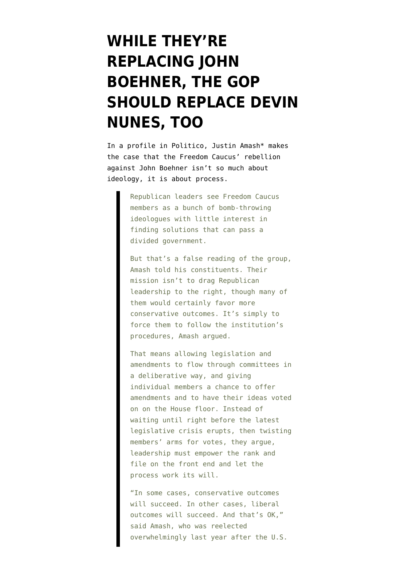## **[WHILE THEY'RE](https://www.emptywheel.net/2015/10/16/while-theyre-replacing-john-boehner-the-gop-should-replace-devin-nunes-too/) [REPLACING JOHN](https://www.emptywheel.net/2015/10/16/while-theyre-replacing-john-boehner-the-gop-should-replace-devin-nunes-too/) [BOEHNER, THE GOP](https://www.emptywheel.net/2015/10/16/while-theyre-replacing-john-boehner-the-gop-should-replace-devin-nunes-too/) [SHOULD REPLACE DEVIN](https://www.emptywheel.net/2015/10/16/while-theyre-replacing-john-boehner-the-gop-should-replace-devin-nunes-too/) [NUNES, TOO](https://www.emptywheel.net/2015/10/16/while-theyre-replacing-john-boehner-the-gop-should-replace-devin-nunes-too/)**

In a [profile in Politico,](http://www.politico.com/story/2015/10/justin-amash-freedom-caucus-house-republicans-214819) Justin Amash\* makes the case that the Freedom Caucus' rebellion against John Boehner isn't so much about ideology, it is about process.

> Republican leaders see Freedom Caucus members as a bunch of bomb-throwing ideologues with little interest in finding solutions that can pass a divided government.

But that's a false reading of the group, Amash told his constituents. Their mission isn't to drag Republican leadership to the right, though many of them would certainly favor more conservative outcomes. It's simply to force them to follow the institution's procedures, Amash argued.

That means allowing legislation and amendments to flow through committees in a deliberative way, and giving individual members a chance to offer amendments and to have their ideas voted on on the House floor. Instead of waiting until right before the latest legislative crisis erupts, then twisting members' arms for votes, they argue, leadership must empower the rank and file on the front end and let the process work its will.

"In some cases, conservative outcomes will succeed. In other cases, liberal outcomes will succeed. And that's OK," said Amash, who was reelected overwhelmingly last year after the U.S.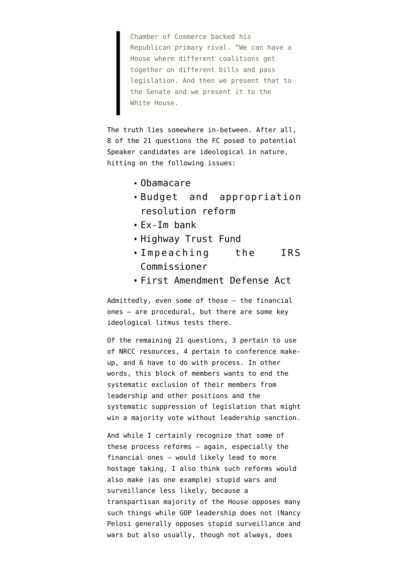Chamber of Commerce backed his Republican primary rival. "We can have a House where different coalitions get together on different bills and pass legislation. And then we present that to the Senate and we present it to the White House.

The truth lies somewhere in-between. After all, [8 of the 21 questions](http://www.politico.com/f/?id=00000150-49be-d501-ab5d-6dbf7cd70000) the FC posed to potential Speaker candidates are ideological in nature, hitting on the following issues:

- Obamacare
- Budget and appropriation resolution reform
- Ex-Im bank
- **Highway Trust Fund**
- Impeaching the IRS Commissioner
- [First Amendment Defense Act](https://www.congress.gov/bill/114th-congress/house-bill/2802)

Admittedly, even some of those — the financial ones — are procedural, but there are some key ideological litmus tests there.

Of the remaining 21 questions, 3 pertain to use of NRCC resources, 4 pertain to conference makeup, and 6 have to do with process. In other words, this block of members wants to end the systematic exclusion of their members from leadership and other positions and the systematic suppression of legislation that might win a majority vote without leadership sanction.

And while I certainly recognize that some of these process reforms — again, especially the financial ones — would likely lead to more hostage taking, I also think such reforms would also make (as one example) stupid wars and surveillance less likely, because a transpartisan majority of the House opposes many such things while GOP leadership does not (Nancy Pelosi generally opposes stupid surveillance and wars but also usually, though not always, does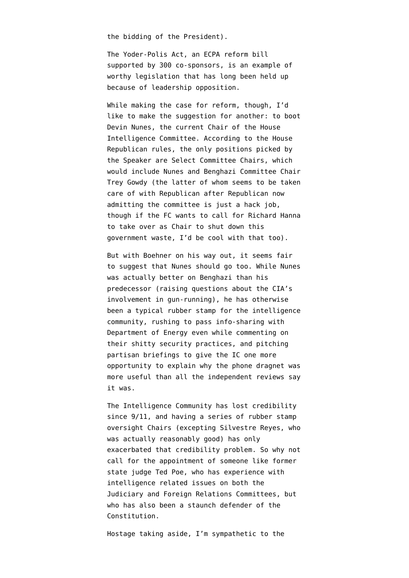the bidding of the President).

The [Yoder-Polis Act](https://www.congress.gov/bill/114th-congress/house-bill/699/cosponsors), an ECPA reform bill supported by 300 co-sponsors, is an example of worthy legislation that has long been held up because of leadership opposition.

While making the case for reform, though, I'd like to make the suggestion for another: to boot Devin Nunes, the current Chair of the House Intelligence Committee. According to the [House](http://www.gop.gov/114th-rules/) [Republican rules,](http://www.gop.gov/114th-rules/) the only positions picked by the Speaker are Select Committee Chairs, which would include Nunes and Benghazi Committee Chair Trey Gowdy (the latter of whom seems to be taken care of with [Republican after Republican now](http://www.cnn.com/2015/10/14/politics/hillary-clinton-benghazi-committee/) [admitting](http://www.cnn.com/2015/10/14/politics/hillary-clinton-benghazi-committee/) the committee is just a hack job, though if the FC wants to call for Richard Hanna to take over as Chair to shut down this government waste, I'd be cool with that too).

But with Boehner on his way out, it seems fair to suggest that Nunes should go too. While Nunes [was actually better on Benghazi than his](https://www.emptywheel.net/2015/03/05/maybe-petraeus-plea-deal-is-more-interesting-to-the-benghazi-report-than-hillarys-emails/) [predecessor](https://www.emptywheel.net/2015/03/05/maybe-petraeus-plea-deal-is-more-interesting-to-the-benghazi-report-than-hillarys-emails/) (raising questions about the CIA's involvement in gun-running), he has otherwise been a typical rubber stamp for the intelligence community, [rushing to pass info-sharing](https://www.emptywheel.net/2015/09/11/why-is-devin-nunes-rushing-to-give-more-data-to-hack-tastic-department-of-energy/) with Department of Energy even while commenting on their shitty security practices, and [pitching](https://www.emptywheel.net/2015/03/25/devin-nunes-thinks-congress-needs-more-classified-briefings-to-understand-phone-dragnet/) [partisan briefings](https://www.emptywheel.net/2015/03/25/devin-nunes-thinks-congress-needs-more-classified-briefings-to-understand-phone-dragnet/) to give the IC one more opportunity to explain why the phone dragnet was more useful than all the independent reviews say it was.

The Intelligence Community has lost credibility since 9/11, and having a series of rubber stamp oversight Chairs (excepting Silvestre Reyes, who was actually reasonably good) has only exacerbated that credibility problem. So why not call for the appointment of someone like former state judge Ted Poe, who has experience with intelligence related issues on both the Judiciary and Foreign Relations Committees, but who has also been a staunch defender of the Constitution.

Hostage taking aside, I'm sympathetic to the